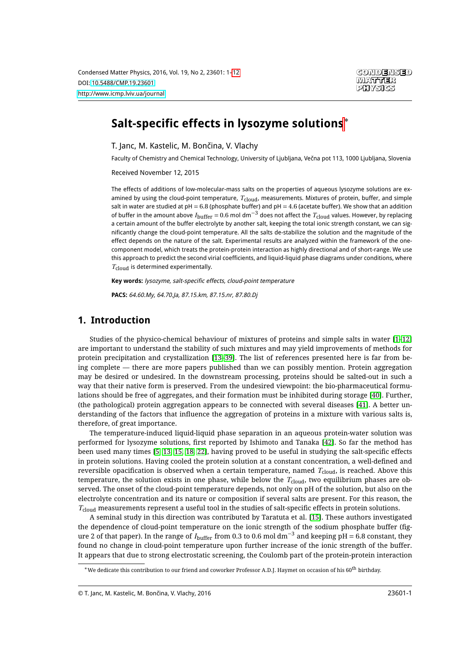

# **Salt-specific effects in lysozyme solutions**<sup>∗</sup>

T. Janc, M. Kastelic, M. Bončina, V. Vlachy

Faculty of Chemistry and Chemical Technology, University of Ljubljana, Večna pot 113, 1000 Ljubljana, Slovenia

Received November 12, 2015

The effects of additions of low-molecular-mass salts on the properties of aqueous lysozyme solutions are examined by using the cloud-point temperature, *T*cloud, measurements. Mixtures of protein, buffer, and simple salt in water are studied at  $pH = 6.8$  (phosphate buffer) and  $pH = 4.6$  (acetate buffer). We show that an addition of buffer in the amount above *<sup>I</sup>*buffer <sup>=</sup> 0.6 mol dm−<sup>3</sup> does not affect the *<sup>T</sup>*cloud values. However, by replacing a certain amount of the buffer electrolyte by another salt, keeping the total ionic strength constant, we can significantly change the cloud-point temperature. All the salts de-stabilize the solution and the magnitude of the effect depends on the nature of the salt. Experimental results are analyzed within the framework of the onecomponent model, which treats the protein-protein interaction as highly directional and of short-range. We use this approach to predict the second virial coefficients, and liquid-liquid phase diagrams under conditions, where *T*cloud is determined experimentally.

**Key words:** lysozyme, salt-specific effects, cloud-point temperature

**PACS:** 64.60.My, 64.70.Ja, 87.15.km, 87.15.nr, 87.80.Dj

### **1. Introduction**

Studies of the physico-chemical behaviour of mixtures of proteins and simple salts in water [\[1](#page-9-1)[–12\]](#page-9-2) are important to understand the stability of such mixtures and may yield improvements of methods for protein precipitation and crystallization [\[13](#page-9-3)[–39\]](#page-10-0). The list of references presented here is far from being complete — there are more papers published than we can possibly mention. Protein aggregation may be desired or undesired. In the downstream processing, proteins should be salted-out in such a way that their native form is preserved. From the undesired viewpoint: the bio-pharmaceutical formulations should be free of aggregates, and their formation must be inhibited during storage [\[40\]](#page-10-1). Further, (the pathological) protein aggregation appears to be connected with several diseases [\[41\]](#page-10-2). A better understanding of the factors that influence the aggregation of proteins in a mixture with various salts is, therefore, of great importance.

The temperature-induced liquid-liquid phase separation in an aqueous protein-water solution was performed for lysozyme solutions, first reported by Ishimoto and Tanaka [\[42\]](#page-10-3). So far the method has been used many times [\[5,](#page-9-4) [13,](#page-9-3) [15,](#page-9-5) [18,](#page-9-6) [22\]](#page-9-7), having proved to be useful in studying the salt-specific effects in protein solutions. Having cooled the protein solution at a constant concentration, a well-defined and reversible opacification is observed when a certain temperature, named *T*<sub>cloud</sub>, is reached. Above this temperature, the solution exists in one phase, while below the *T*cloud, two equilibrium phases are observed. The onset of the cloud-point temperature depends, not only on pH of the solution, but also on the electrolyte concentration and its nature or composition if several salts are present. For this reason, the *T*<sub>cloud</sub> measurements represent a useful tool in the studies of salt-specific effects in protein solutions.

A seminal study in this direction was contributed by Taratuta et al. [\[15\]](#page-9-5). These authors investigated the dependence of cloud-point temperature on the ionic strength of the sodium phosphate buffer (figure 2 of that paper). In the range of *I*buffer from 0.3 to 0.6 mol dm−<sup>3</sup> and keeping pH = 6.8 constant, they found no change in cloud-point temperature upon further increase of the ionic strength of the buffer. It appears that due to strong electrostatic screening, the Coulomb part of the protein-protein interaction

 $*$  We dedicate this contribution to our friend and coworker Professor A.D.J. Haymet on occasion of his 60 $^{\rm th}$  birthday.

<sup>©</sup> T. Janc, M. Kastelic, M. Bončina, V. Vlachy, 2016 23601-1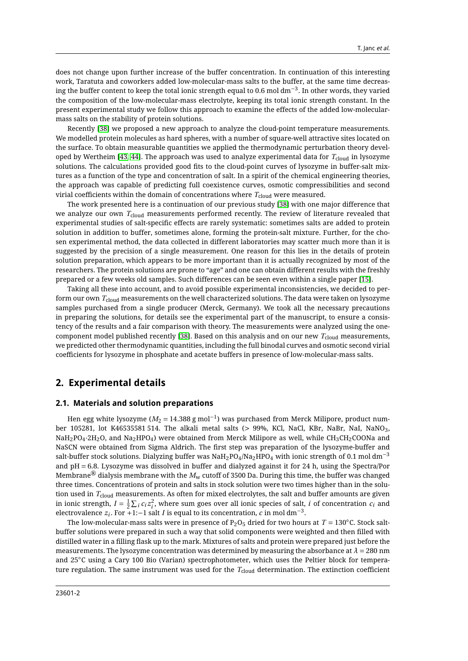does not change upon further increase of the buffer concentration. In continuation of this interesting work, Taratuta and coworkers added low-molecular-mass salts to the buffer, at the same time decreasing the buffer content to keep the total ionic strength equal to 0.6 mol  $\rm dm^{-3}.$  In other words, they varied the composition of the low-molecular-mass electrolyte, keeping its total ionic strength constant. In the present experimental study we follow this approach to examine the effects of the added low-molecularmass salts on the stability of protein solutions.

Recently [\[38\]](#page-10-4) we proposed a new approach to analyze the cloud-point temperature measurements. We modelled protein molecules as hard spheres, with a number of square-well attractive sites located on the surface. To obtain measurable quantities we applied the thermodynamic perturbation theory developed by Wertheim [\[43,](#page-10-5) [44\]](#page-10-6). The approach was used to analyze experimental data for *T*cloud in lysozyme solutions. The calculations provided good fits to the cloud-point curves of lysozyme in buffer-salt mixtures as a function of the type and concentration of salt. In a spirit of the chemical engineering theories, the approach was capable of predicting full coexistence curves, osmotic compressibilities and second virial coefficients within the domain of concentrations where *T*cloud were measured.

The work presented here is a continuation of our previous study [\[38\]](#page-10-4) with one major difference that we analyze our own  $T_{cloud}$  measurements performed recently. The review of literature revealed that experimental studies of salt-specific effects are rarely systematic: sometimes salts are added to protein solution in addition to buffer, sometimes alone, forming the protein-salt mixture. Further, for the chosen experimental method, the data collected in different laboratories may scatter much more than it is suggested by the precision of a single measurement. One reason for this lies in the details of protein solution preparation, which appears to be more important than it is actually recognized by most of the researchers. The protein solutions are prone to "age" and one can obtain different results with the freshly prepared or a few weeks old samples. Such differences can be seen even within a single paper [\[15\]](#page-9-5).

Taking all these into account, and to avoid possible experimental inconsistencies, we decided to perform our own *T*cloud measurements on the well characterized solutions. The data were taken on lysozyme samples purchased from a single producer (Merck, Germany). We took all the necessary precautions in preparing the solutions, for details see the experimental part of the manuscript, to ensure a consistency of the results and a fair comparison with theory. The measurements were analyzed using the one-component model published recently [\[38\]](#page-10-4). Based on this analysis and on our new  $T_{cloud}$  measurements, we predicted other thermodynamic quantities, including the full binodal curves and osmotic second virial coefficients for lysozyme in phosphate and acetate buffers in presence of low-molecular-mass salts.

### **2. Experimental details**

#### **2.1. Materials and solution preparations**

Hen egg white lysozyme ( $M_2 = 14.388$  g mol $^{-1}$ ) was purchased from Merck Milipore, product number 105281, lot K46535581 514. The alkali metal salts (> 99%, KCl, NaCl, KBr, NaBr, NaI, NaNO<sub>3</sub>, NaH<sub>2</sub>PO<sub>4</sub>·2H<sub>2</sub>O, and Na<sub>2</sub>HPO<sub>4</sub>) were obtained from Merck Milipore as well, while CH<sub>3</sub>CH<sub>2</sub>COONa and NaSCN were obtained from Sigma Aldrich. The first step was preparation of the lysozyme-buffer and salt-buffer stock solutions. Dialyzing buffer was NaH<sub>2</sub>PO<sub>4</sub>/Na<sub>2</sub>HPO<sub>4</sub> with ionic strength of 0.1 mol dm<sup>-3</sup> and pH = 6.8. Lysozyme was dissolved in buffer and dialyzed against it for 24 h, using the Spectra/Por Membrane<sup>( $\&$ </sup> dialysis membrane with the  $M_w$  cutoff of 3500 Da. During this time, the buffer was changed three times. Concentrations of protein and salts in stock solution were two times higher than in the solution used in *T*<sub>cloud</sub> measurements. As often for mixed electrolytes, the salt and buffer amounts are given in ionic strength,  $I = \frac{1}{2} \sum_i c_i z_i^2$ , where sum goes over all ionic species of salt, *i* of concentration  $c_i$  and electrovalence  $z_i$ . For +1:−1 salt *I* is equal to its concentration, *c* in mol dm<sup>-3</sup>.

The low-molecular-mass salts were in presence of  $P_2O_5$  dried for two hours at  $T = 130°C$ . Stock saltbuffer solutions were prepared in such a way that solid components were weighted and then filled with distilled water in a filling flask up to the mark. Mixtures of salts and protein were prepared just before the measurements. The lysozyme concentration was determined by measuring the absorbance at  $\lambda = 280$  nm and 25◦C using a Cary 100 Bio (Varian) spectrophotometer, which uses the Peltier block for temperature regulation. The same instrument was used for the *T*<sub>cloud</sub> determination. The extinction coefficient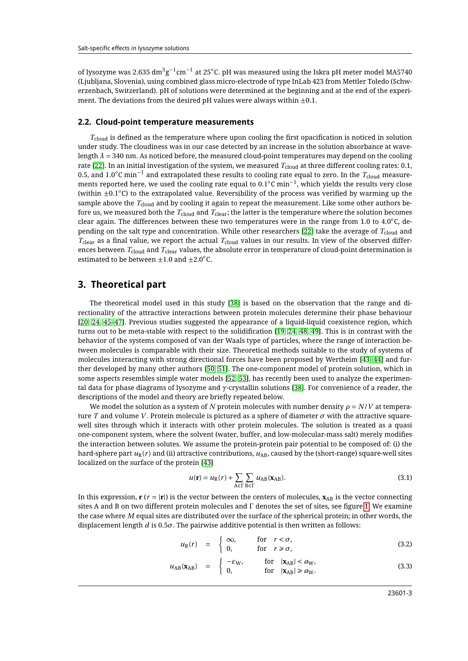of lysozyme was 2.635  $\rm{dm^3g^{-1}cm^{-1}}$  at 25°C. pH was measured using the Iskra pH meter model MA5740 (Ljubljana, Slovenia), using combined glass micro-electrode of type InLab 423 from Mettler Toledo (Schwerzenbach, Switzerland). pH of solutions were determined at the beginning and at the end of the experiment. The deviations from the desired pH values were always within  $\pm 0.1$ .

#### **2.2. Cloud-point temperature measurements**

 $T_{\text{cloud}}$  is defined as the temperature where upon cooling the first opacification is noticed in solution under study. The cloudiness was in our case detected by an increase in the solution absorbance at wavelength  $\lambda$  = 340 nm. As noticed before, the measured cloud-point temperatures may depend on the cooling rate [\[22\]](#page-9-7). In an initial investigation of the system, we measured T<sub>cloud</sub> at three different cooling rates: 0.1, 0.5, and 1.0◦C min−<sup>1</sup> and extrapolated these results to cooling rate equal to zero. In the *T*cloud measurements reported here, we used the cooling rate equal to 0.1◦C min−<sup>1</sup> , which yields the results very close (within ±0.1◦C) to the extrapolated value. Reversibility of the process was verified by warming up the sample above the  $T_{cloud}$  and by cooling it again to repeat the measurement. Like some other authors before us, we measured both the *T*<sub>cloud</sub> and *T*<sub>clear</sub>; the latter is the temperature where the solution becomes clear again. The differences between these two temperatures were in the range from 1.0 to  $4.0 °C$ , de-pending on the salt type and concentration. While other researchers [\[22\]](#page-9-7) take the average of  $T_{\text{cloud}}$  and *T*clear as a final value, we report the actual *T*cloud values in our results. In view of the observed differences between *T*cloud and *T*clear values, the absolute error in temperature of cloud-point determination is estimated to be between  $\pm 1.0$  and  $\pm 2.0^{\circ}$ C.

### **3. Theoretical part**

The theoretical model used in this study [\[38\]](#page-10-4) is based on the observation that the range and directionality of the attractive interactions between protein molecules determine their phase behaviour [\[20,](#page-9-8) [24,](#page-9-9) [45](#page-10-7)[–47\]](#page-10-8). Previous studies suggested the appearance of a liquid-liquid coexistence region, which turns out to be meta-stable with respect to the solidification [\[19,](#page-9-10) [24,](#page-9-9) [48,](#page-10-9) [49\]](#page-10-10). This is in contrast with the behavior of the systems composed of van der Waals type of particles, where the range of interaction between molecules is comparable with their size. Theoretical methods suitable to the study of systems of molecules interacting with strong directional forces have been proposed by Wertheim [\[43,](#page-10-5) [44\]](#page-10-6) and further developed by many other authors [\[50,](#page-10-11) [51\]](#page-10-12). The one-component model of protein solution, which in some aspects resembles simple water models [\[52,](#page-10-13) [53\]](#page-10-14), has recently been used to analyze the experimental data for phase diagrams of lysozyme and *γ*-crystallin solutions [\[38\]](#page-10-4). For convenience of a reader, the descriptions of the model and theory are briefly repeated below.

We model the solution as a system of *N* protein molecules with number density  $\rho = N/V$  at temperature *T* and volume *V* . Protein molecule is pictured as a sphere of diameter *σ* with the attractive squarewell sites through which it interacts with other protein molecules. The solution is treated as a quasi one-component system, where the solvent (water, buffer, and low-molecular-mass salt) merely modifies the interaction between solutes. We assume the protein-protein pair potential to be composed of: (i) the hard-sphere part  $u_R(r)$  and (ii) attractive contributions,  $u_{AB}$ , caused by the (short-range) square-well sites localized on the surface of the protein [\[43\]](#page-10-5)

$$
u(\mathbf{r}) = u_{\text{R}}(r) + \sum_{\text{A} \in \Gamma} \sum_{\text{B} \in \Gamma} u_{\text{AB}}(\mathbf{x}_{\text{AB}}).
$$
 (3.1)

In this expression,  $\mathbf{r}$  ( $r = |\mathbf{r}|$ ) is the vector between the centers of molecules,  $\mathbf{x}_{AB}$  is the vector connecting sites A and B on two different protein molecules and Γ denotes the set of sites, see figure [1.](#page-3-0) We examine the case where *M* equal sites are distributed over the surface of the spherical protein; in other words, the displacement length *d* is 0.5*σ*. The pairwise additive potential is then written as follows:

$$
u_{R}(r) = \begin{cases} \infty, & \text{for } r < \sigma, \\ 0, & \text{for } r \ge \sigma, \end{cases}
$$
 (3.2)

$$
u_{AB}(\mathbf{x}_{AB}) = \begin{cases} -\varepsilon_{W}, & \text{for } |\mathbf{x}_{AB}| < a_{W}, \\ 0, & \text{for } |\mathbf{x}_{AB}| \ge a_{W}. \end{cases}
$$
(3.3)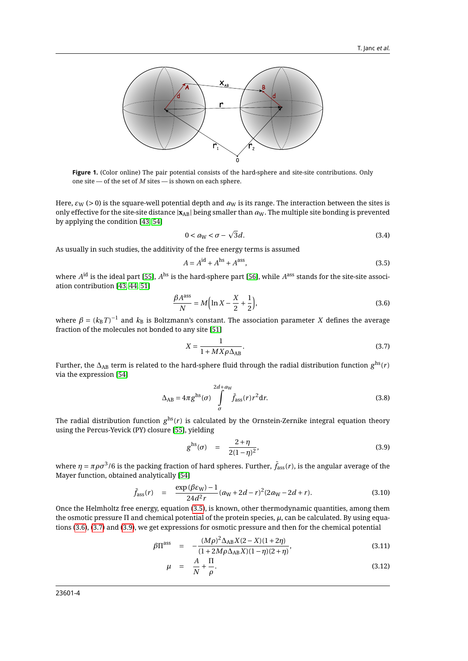<span id="page-3-0"></span>

**Figure 1.** (Color online) The pair potential consists of the hard-sphere and site-site contributions. Only one site — of the set of  $M$  sites — is shown on each sphere.

Here,  $\varepsilon_W$  (> 0) is the square-well potential depth and  $a_W$  is its range. The interaction between the sites is only effective for the site-site distance  $|\mathbf{x}_{AB}|$  being smaller than  $a_W$ . The multiple site bonding is prevented by applying the condition [\[43,](#page-10-5) [54\]](#page-10-15)

$$
0 < a_{\mathbf{W}} < \sigma - \sqrt{3}d. \tag{3.4}
$$

As usually in such studies, the additivity of the free energy terms is assumed

<span id="page-3-1"></span>
$$
A = Aid + Ahs + Aass,
$$
 (3.5)

where  $A^{\rm id}$  is the ideal part [\[55\]](#page-10-16),  $A^{\rm hs}$  is the hard-sphere part [\[56\]](#page-10-17), while  $A^{\rm ass}$  stands for the site-site association contribution [\[43,](#page-10-5) [44,](#page-10-6) [51\]](#page-10-12)

<span id="page-3-2"></span>
$$
\frac{\beta A^{\text{ass}}}{N} = M \Big( \ln X - \frac{X}{2} + \frac{1}{2} \Big),\tag{3.6}
$$

where  $\beta = (k_{\text{B}}T)^{-1}$  and  $k_{\text{B}}$  is Boltzmann's constant. The association parameter  $X$  defines the average fraction of the molecules not bonded to any site [\[51\]](#page-10-12)

<span id="page-3-3"></span>
$$
X = \frac{1}{1 + MX\rho\Delta_{AB}}.\tag{3.7}
$$

Further, the ∆AB term is related to the hard-sphere fluid through the radial distribution function *g* hs(*r* ) via the expression [\[54\]](#page-10-15)

<span id="page-3-5"></span>
$$
\Delta_{AB} = 4\pi g^{hs}(\sigma) \int_{\sigma}^{2d + a_W} \bar{f}_{ass}(r) r^2 dr.
$$
 (3.8)

The radial distribution function  $g^{\rm hs}(r)$  is calculated by the Ornstein-Zernike integral equation theory using the Percus-Yevick (PY) closure [\[55\]](#page-10-16), yielding

<span id="page-3-4"></span>
$$
g^{\rm hs}(\sigma) = \frac{2+\eta}{2(1-\eta)^2},
$$
\n(3.9)

where  $\eta=\pi\rho\sigma^3$ /6 is the packing fraction of hard spheres. Further,  $\bar f_\text{ass}(r)$ , is the angular average of the Mayer function, obtained analytically [\[54\]](#page-10-15)

$$
\bar{f}_{\text{ass}}(r) = \frac{\exp(\beta \varepsilon_{\text{W}}) - 1}{24d^2r} (a_{\text{W}} + 2d - r)^2 (2a_{\text{W}} - 2d + r). \tag{3.10}
$$

Once the Helmholtz free energy, equation [\(3.5\)](#page-3-1), is known, other thermodynamic quantities, among them the osmotic pressure Π and chemical potential of the protein species, *µ*, can be calculated. By using equations [\(3.6\)](#page-3-2), [\(3.7\)](#page-3-3) and [\(3.9\)](#page-3-4), we get expressions for osmotic pressure and then for the chemical potential

<span id="page-3-6"></span>
$$
\beta \Pi^{\rm ass} = -\frac{(M\rho)^2 \Delta_{\rm AB} X (2 - X)(1 + 2\eta)}{(1 + 2M\rho \Delta_{\rm AB} X)(1 - \eta)(2 + \eta)},
$$
\n(3.11)

$$
\mu = \frac{A}{N} + \frac{\Pi}{\rho}.\tag{3.12}
$$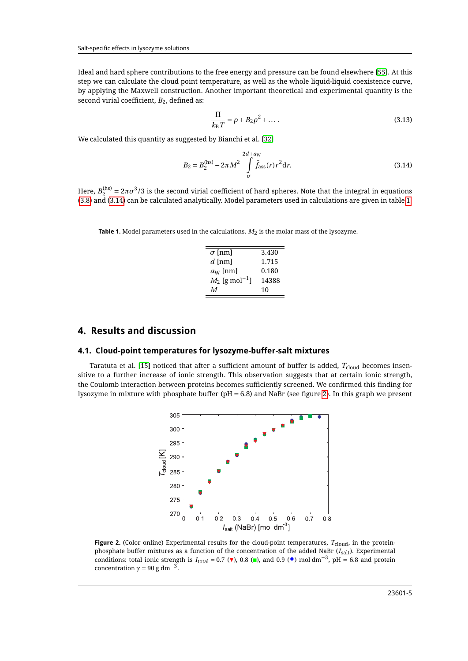Ideal and hard sphere contributions to the free energy and pressure can be found elsewhere [\[55\]](#page-10-16). At this step we can calculate the cloud point temperature, as well as the whole liquid-liquid coexistence curve, by applying the Maxwell construction. Another important theoretical and experimental quantity is the second virial coefficient,  $B_2$ , defined as:

$$
\frac{\Pi}{k_{\rm B}T} = \rho + B_2 \rho^2 + \dots \,. \tag{3.13}
$$

We calculated this quantity as suggested by Bianchi et al. [\[32\]](#page-10-18)

<span id="page-4-0"></span>
$$
B_2 = B_2^{(hs)} - 2\pi M^2 \int\limits_{\sigma}^{2d + a_W} \bar{f}_{\text{ass}}(r) r^2 \, \mathrm{d}r. \tag{3.14}
$$

Here,  $B_2^{(\rm hs)}=2\pi\sigma^3/3$  is the second virial coefficient of hard spheres. Note that the integral in equations [\(3.8\)](#page-3-5) and [\(3.14\)](#page-4-0) can be calculated analytically. Model parameters used in calculations are given in table [1.](#page-4-1)

<span id="page-4-1"></span>

| $\sigma$ [nm]                | 3.430 |
|------------------------------|-------|
| $d$ [nm]                     | 1.715 |
| $a_W$ [nm]                   | 0.180 |
| $M_2$ [g mol <sup>-1</sup> ] | 14388 |
| M                            | 10    |

## **4. Results and discussion**

#### **4.1. Cloud-point temperatures for lysozyme-buffer-salt mixtures**

<span id="page-4-2"></span>Taratuta et al. [\[15\]](#page-9-5) noticed that after a sufficient amount of buffer is added, T<sub>cloud</sub> becomes insensitive to a further increase of ionic strength. This observation suggests that at certain ionic strength, the Coulomb interaction between proteins becomes sufficiently screened. We confirmed this finding for lysozyme in mixture with phosphate buffer ( $pH = 6.8$ ) and NaBr (see figure [2\)](#page-4-2). In this graph we present



**Figure 2.** (Color online) Experimental results for the cloud-point temperatures,  $T_{\text{cloud}}$ , in the proteinphosphate buffer mixtures as a function of the concentration of the added NaBr (I<sub>salt</sub>). Experimental conditions: total ionic strength is  $I_{\text{total}} = 0.7$  ( $\blacktriangledown$ ), 0.8 (■), and 0.9 ( $\blacktriangledown$ ) mol dm<sup>-3</sup>, pH = 6.8 and protein conditions: total ionic strength is  $I_{\text{total}} = 0.7$  ( $\blacktriangledown$ ), 0.8 (■), and 0.9 ( $\blacktriangledown$ ) mol dm<sup>-3</sup> concentration  $\gamma$  = 90 g dm<sup>-3</sup>.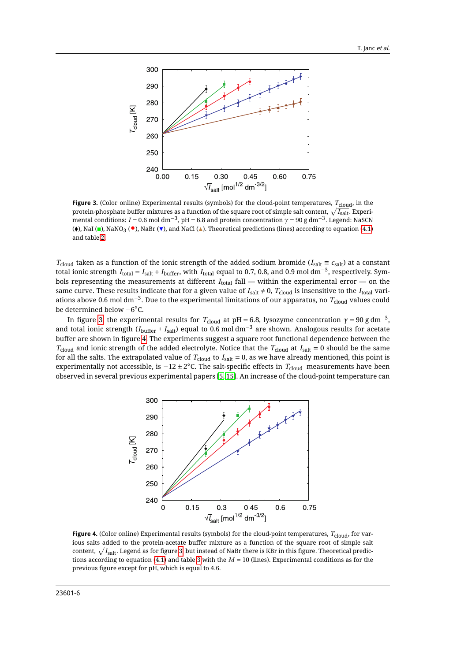<span id="page-5-0"></span>

**Figure 3.** (Color online) Experimental results (symbols) for the cloud-point temperatures,  $T_{\text{cloud}}$ , in the protein-phosphate buffer mixtures as a function of the square root of simple salt content,  $\sqrt{I_{\rm salt}}$ . Experi-.<br>mental conditions: *I* = 0.6 mol dm<sup>−3</sup>, pH = 6.8 and protein concentration *γ* = 90 g dm<sup>−3</sup>. Legend: NaSCN ( $\bullet$ ), NaI ( $\bullet$ ), NaNO<sub>3</sub> ( $\bullet$ ), NaBr ( $\bullet$ ), and NaCl ( $\blacktriangle$ ). Theoretical predictions (lines) according to equation [\(4.1\)](#page-6-0) and table [2.](#page-6-1)

*T*<sub>cloud</sub> taken as a function of the ionic strength of the added sodium bromide ( $I_{\text{salt}} \equiv c_{\text{salt}}$ ) at a constant total ionic strength  $I_{total} = I_{salt} + I_{buffer}$ , with  $I_{total}$  equal to 0.7, 0.8, and 0.9 mol dm<sup>-3</sup>, respectively. Symbols representing the measurements at different *I*<sub>total</sub> fall — within the experimental error — on the same curve. These results indicate that for a given value of  $I_{\text{salt}} \neq 0$ ,  $T_{\text{cloud}}$  is insensitive to the  $I_{\text{total}}$  variations above 0.6 mol dm−<sup>3</sup> . Due to the experimental limitations of our apparatus, no *T*cloud values could be determined below −6 ◦C.

In figure [3,](#page-5-0) the experimental results for  $T_{\rm cloud}$  at pH = 6.8, lysozyme concentration  $\gamma = 90$  g dm $^{-3}$ , and total ionic strength (*I*buffer <sup>+</sup> *I*salt) equal to 0.6 mol dm−<sup>3</sup> are shown. Analogous results for acetate buffer are shown in figure [4.](#page-5-1) The experiments suggest a square root functional dependence between the  $T_{\text{cloud}}$  and ionic strength of the added electrolyte. Notice that the  $T_{\text{cloud}}$  at  $I_{\text{salt}} = 0$  should be the same for all the salts. The extrapolated value of  $T_{\text{cloud}}$  to  $I_{\text{salt}} = 0$ , as we have already mentioned, this point is experimentally not accessible, is  $-12 \pm 2^{\circ}$ C. The salt-specific effects in  $T_{\text{cloud}}$  measurements have been observed in several previous experimental papers [\[5,](#page-9-4) [15\]](#page-9-5). An increase of the cloud-point temperature can

<span id="page-5-1"></span>

**Figure 4.** (Color online) Experimental results (symbols) for the cloud-point temperatures, *T*cloud, for various salts added to the protein-acetate buffer mixture as a function of the square root of simple salt content,  $\sqrt{I_{\rm salt}}$ . Legend as for figure [3,](#page-5-0) but instead of NaBr there is KBr in this figure. Theoretical predictions according to equation [\(4.1\)](#page-6-0) and table [3](#page-6-2) with the *M* = 10 (lines). Experimental conditions as for the previous figure except for pH, which is equal to 4.6.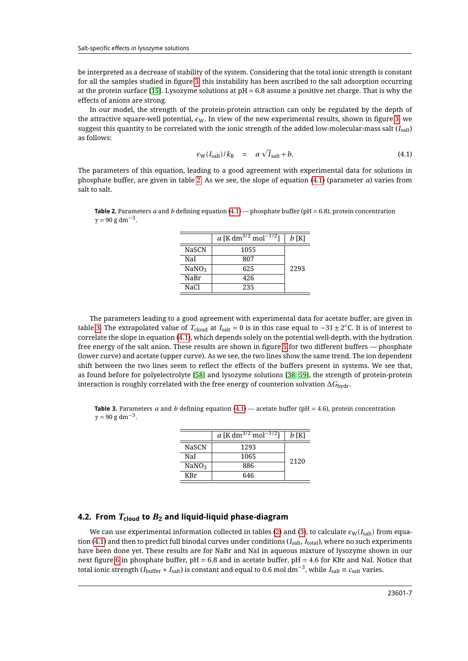be interpreted as a decrease of stability of the system. Considering that the total ionic strength is constant for all the samples studied in figure [3,](#page-5-0) this instability has been ascribed to the salt adsorption occurring at the protein surface [\[15\]](#page-9-5). Lysozyme solutions at  $pH = 6.8$  assume a positive net charge. That is why the effects of anions are strong.

In our model, the strength of the protein-protein attraction can only be regulated by the depth of the attractive square-well potential,  $\epsilon_{\text{W}}$ . In view of the new experimental results, shown in figure [3,](#page-5-0) we suggest this quantity to be correlated with the ionic strength of the added low-molecular-mass salt  $(I<sub>salt</sub>)$ as follows:

<span id="page-6-0"></span>
$$
\epsilon_{\rm W}(I_{\rm salt})/k_{\rm B} = a\,\sqrt{I}_{\rm salt} + b. \tag{4.1}
$$

The parameters of this equation, leading to a good agreement with experimental data for solutions in phosphate buffer, are given in table [2.](#page-6-1) As we see, the slope of equation [\(4.1\)](#page-6-0) (parameter *a*) varies from salt to salt.

<span id="page-6-1"></span>**Table 2.** Parameters *a* and *b* defining equation [\(4.1\)](#page-6-0) — phosphate buffer (pH = 6.8), protein concentration  $\gamma = 90 \text{ g dm}^{-3}$ .

|                   | a [K dm <sup>3/2</sup> mol <sup>-</sup><br>$-1/2$ <sub>1</sub> | b [K] |
|-------------------|----------------------------------------------------------------|-------|
| <b>NaSCN</b>      | 1055                                                           |       |
| NaI               | 807                                                            |       |
| NaNO <sub>3</sub> | 625                                                            | 2293  |
| NaBr              | 426                                                            |       |
| NaCl              | 235                                                            |       |

The parameters leading to a good agreement with experimental data for acetate buffer, are given in table [3.](#page-6-2) The extrapolated value of  $T_{\text{cloud}}$  at  $I_{\text{salt}} = 0$  is in this case equal to  $-31 \pm 2^{\circ}$ C. It is of interest to correlate the slope in equation [\(4.1\)](#page-6-0), which depends solely on the potential well-depth, with the hydration free energy of the salt anion. These results are shown in figure [5](#page-7-0) for two different buffers — phosphate (lower curve) and acetate (upper curve). As we see, the two lines show the same trend. The ion dependent shift between the two lines seem to reflect the effects of the buffers present in systems. We see that, as found before for polyelectrolyte [\[58\]](#page-10-19) and lysozyme solutions [\[38,](#page-10-4) [59\]](#page-10-20), the strength of protein-protein interaction is roughly correlated with the free energy of counterion solvation ∆*G*hydr.

<span id="page-6-2"></span>**Table 3.** Parameters *a* and *b* defining equation [\(4.1\)](#page-6-0) — acetate buffer (pH = 4.6), protein concentration  $\gamma = 90 \text{ g dm}^{-3}$ .

|                   | a [K dm <sup>3/2</sup> mol <sup>-1/2</sup> ] | $b$ [K] |
|-------------------|----------------------------------------------|---------|
| <b>NaSCN</b>      | 1293                                         |         |
| NaI               | 1065                                         | 2120    |
| NaNO <sub>3</sub> | 886                                          |         |
| KRr               | 646                                          |         |

#### **4.2. From** *T***cloud to** *B***<sup>2</sup> and liquid-liquid phase-diagram**

We can use experimental information collected in tables [\(2\)](#page-6-1) and [\(3\)](#page-6-2), to calculate  $\epsilon_W(I_{\text{salt}})$  from equation [\(4.1\)](#page-6-0) and then to predict full binodal curves under conditions (*I*salt, *I*total), where no such experiments have been done yet. These results are for NaBr and NaI in aqueous mixture of lysozyme shown in our next figure [6](#page-7-1) in phosphate buffer, pH = 6.8 and in acetate buffer, pH = 4.6 for KBr and NaI. Notice that total ionic strength ( $I_{\text{buffer}} + I_{\text{salt}}$ ) is constant and equal to 0.6 mol dm<sup>−3</sup>, while  $I_{\text{salt}} \equiv c_{\text{salt}}$  varies.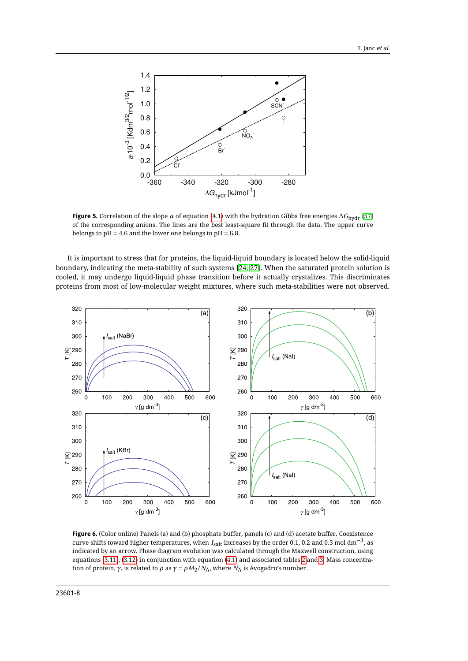<span id="page-7-0"></span>

**Figure 5.** Correlation of the slope *a* of equation [\(4.1\)](#page-6-0) with the hydration Gibbs free energies ∆*G*hydr [\[57\]](#page-10-21) of the corresponding anions. The lines are the best least-square fit through the data. The upper curve belongs to  $pH = 4.6$  and the lower one belongs to  $pH = 6.8$ .

It is important to stress that for proteins, the liquid-liquid boundary is located below the solid-liquid boundary, indicating the meta-stability of such systems [\[24,](#page-9-9) [27\]](#page-9-11). When the saturated protein solution is cooled, it may undergo liquid-liquid phase transition before it actually crystalizes. This discriminates proteins from most of low-molecular weight mixtures, where such meta-stabilities were not observed.

<span id="page-7-1"></span>

**Figure 6.** (Color online) Panels (a) and (b) phosphate buffer, panels (c) and (d) acetate buffer. Coexistence curve shifts toward higher temperatures, when *<sup>I</sup>*salt increases by the order 0.1, 0.2 and 0.3 mol dm−<sup>3</sup> , as indicated by an arrow. Phase diagram evolution was calculated through the Maxwell construction, using equations [\(3.11\)](#page-3-6), [\(3.12\)](#page-3-6) in conjunction with equation [\(4.1\)](#page-6-0) and associated tables [2](#page-6-1) and [3.](#page-6-2) Mass concentration of protein, *γ*, is related to *ρ* as  $γ = ρM<sub>2</sub>/N<sub>A</sub>$ , where  $N<sub>A</sub>$  is Avogadro's number.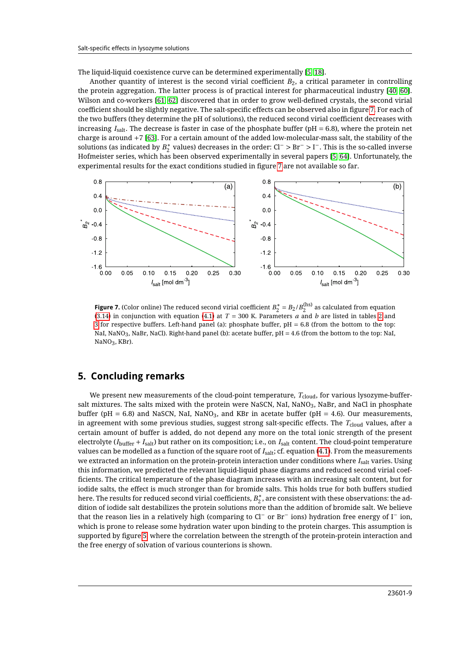The liquid-liquid coexistence curve can be determined experimentally [\[5,](#page-9-4) [18\]](#page-9-6).

Another quantity of interest is the second virial coefficient  $B_2$ , a critical parameter in controlling the protein aggregation. The latter process is of practical interest for pharmaceutical industry [\[40,](#page-10-1) [60\]](#page-10-22). Wilson and co-workers [\[61,](#page-10-23) [62\]](#page-10-24) discovered that in order to grow well-defined crystals, the second virial coefficient should be slightly negative. The salt-specific effects can be observed also in figure [7.](#page-8-0) For each of the two buffers (they determine the pH of solutions), the reduced second virial coefficient decreases with increasing *I*salt. The decrease is faster in case of the phosphate buffer (pH = 6.8), where the protein net charge is around +7 [\[63\]](#page-10-25). For a certain amount of the added low-molecular-mass salt, the stability of the solutions (as indicated by  $B_2^*$  values) decreases in the order: Cl<sup>−</sup> > Br<sup>−</sup> > I<sup>−</sup>. This is the so-called inverse Hofmeister series, which has been observed experimentally in several papers [\[5,](#page-9-4) [64\]](#page-10-26). Unfortunately, the experimental results for the exact conditions studied in figure [7](#page-8-0) are not available so far.

<span id="page-8-0"></span>

**Figure 7.** (Color online) The reduced second virial coefficient  $B_2^* = B_2/B_2^{(hs)}$  as calculated from equation [\(3.14\)](#page-4-0) in conjunction with equation [\(4.1\)](#page-6-0) at  $T = 300$  K. Parameters  $a$  and  $b$  are listed in tables [2](#page-6-1) and [3](#page-6-2) for respective buffers. Left-hand panel (a): phosphate buffer, pH = 6.8 (from the bottom to the top: NaI, NaNO3, NaBr, NaCl). Right-hand panel (b): acetate buffer, pH = 4.6 (from the bottom to the top: NaI, NaNO3, KBr).

### **5. Concluding remarks**

We present new measurements of the cloud-point temperature,  $T_{cloud}$ , for various lysozyme-buffersalt mixtures. The salts mixed with the protein were NaSCN, NaI, NaNO<sub>3</sub>, NaBr, and NaCl in phosphate buffer (pH = 6.8) and NaSCN, NaI, NaNO<sub>3</sub>, and KBr in acetate buffer (pH = 4.6). Our measurements, in agreement with some previous studies, suggest strong salt-specific effects. The T<sub>cloud</sub> values, after a certain amount of buffer is added, do not depend any more on the total ionic strength of the present electrolyte (*I*buffer + *I*salt) but rather on its composition; i.e., on *I*salt content. The cloud-point temperature values can be modelled as a function of the square root of *I*salt; cf. equation [\(4.1\)](#page-6-0). From the measurements we extracted an information on the protein-protein interaction under conditions where *I*salt varies. Using this information, we predicted the relevant liquid-liquid phase diagrams and reduced second virial coefficients. The critical temperature of the phase diagram increases with an increasing salt content, but for iodide salts, the effect is much stronger than for bromide salts. This holds true for both buffers studied here. The results for reduced second virial coefficients,  $B_2^\ast$ , are consistent with these observations: the addition of iodide salt destabilizes the protein solutions more than the addition of bromide salt. We believe that the reason lies in a relatively high (comparing to Cl<sup>−</sup> or Br<sup>−</sup> ions) hydration free energy of I<sup>−</sup> ion, which is prone to release some hydration water upon binding to the protein charges. This assumption is supported by figure [5,](#page-7-0) where the correlation between the strength of the protein-protein interaction and the free energy of solvation of various counterions is shown.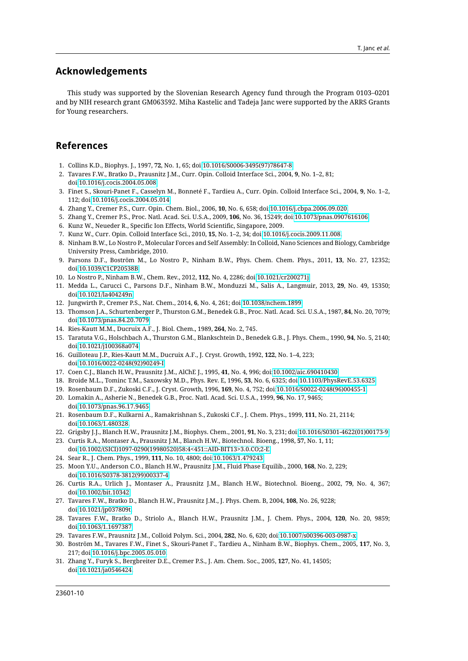### **Acknowledgements**

This study was supported by the Slovenian Research Agency fund through the Program 0103–0201 and by NIH research grant GM063592. Miha Kastelic and Tadeja Janc were supported by the ARRS Grants for Young researchers.

### <span id="page-9-0"></span>**References**

- <span id="page-9-1"></span>1. Collins K.D., Biophys. J., 1997, **72**, No. 1, 65; doi[:10.1016/S0006-3495\(97\)78647-8.](http://dx.doi.org/10.1016/S0006-3495(97)78647-8)
- 2. Tavares F.W., Bratko D., Prausnitz J.M., Curr. Opin. Colloid Interface Sci., 2004, **9**, No. 1–2, 81; doi[:10.1016/j.cocis.2004.05.008.](http://dx.doi.org/10.1016/j.cocis.2004.05.008)
- 3. Finet S., Skouri-Panet F., Casselyn M., Bonneté F., Tardieu A., Curr. Opin. Colloid Interface Sci., 2004, **9**, No. 1–2, 112; doi[:10.1016/j.cocis.2004.05.014.](http://dx.doi.org/10.1016/j.cocis.2004.05.014)
- 4. Zhang Y., Cremer P.S., Curr. Opin. Chem. Biol., 2006, **10**, No. 6, 658; doi[:10.1016/j.cbpa.2006.09.020.](http://dx.doi.org/10.1016/j.cbpa.2006.09.020)
- <span id="page-9-4"></span>5. Zhang Y., Cremer P.S., Proc. Natl. Acad. Sci. U.S.A., 2009, **106**, No. 36, 15249; doi[:10.1073/pnas.0907616106.](http://dx.doi.org/10.1073/pnas.0907616106)
- 6. Kunz W., Neueder R., Specific Ion Effects, World Scientific, Singapore, 2009.
- 7. Kunz W., Curr. Opin. Colloid Interface Sci., 2010, **15**, No. 1–2, 34; doi[:10.1016/j.cocis.2009.11.008.](http://dx.doi.org/10.1016/j.cocis.2009.11.008)
- 8. Ninham B.W., Lo Nostro P., Molecular Forces and Self Assembly: In Colloid, Nano Sciences and Biology, Cambridge University Press, Cambridge, 2010.
- 9. Parsons D.F., Boström M., Lo Nostro P., Ninham B.W., Phys. Chem. Chem. Phys., 2011, **13**, No. 27, 12352; doi[:10.1039/C1CP20538B.](http://dx.doi.org/10.1039/C1CP20538B)
- 10. Lo Nostro P., Ninham B.W., Chem. Rev., 2012, **112**, No. 4, 2286; doi[:10.1021/cr200271j.](http://dx.doi.org/10.1021/cr200271j)
- 11. Medda L., Carucci C., Parsons D.F., Ninham B.W., Monduzzi M., Salis A., Langmuir, 2013, **29**, No. 49, 15350; doi[:10.1021/la404249n.](http://dx.doi.org/10.1021/la404249n)
- <span id="page-9-2"></span>12. Jungwirth P., Cremer P.S., Nat. Chem., 2014, **6**, No. 4, 261; doi[:10.1038/nchem.1899.](http://dx.doi.org/10.1038/nchem.1899)
- <span id="page-9-3"></span>13. Thomson J.A., Schurtenberger P., Thurston G.M., Benedek G.B., Proc. Natl. Acad. Sci. U.S.A., 1987, **84**, No. 20, 7079; doi[:10.1073/pnas.84.20.7079.](http://dx.doi.org/10.1073/pnas.84.20.7079)
- 14. Ries-Kautt M.M., Ducruix A.F., J. Biol. Chem., 1989, **264**, No. 2, 745.
- <span id="page-9-5"></span>15. Taratuta V.G., Holschbach A., Thurston G.M., Blankschtein D., Benedek G.B., J. Phys. Chem., 1990, **94**, No. 5, 2140; doi[:10.1021/j100368a074.](http://dx.doi.org/10.1021/j100368a074)
- 16. Guilloteau J.P., Ries-Kautt M.M., Ducruix A.F., J. Cryst. Growth, 1992, **122**, No. 1–4, 223; doi[:10.1016/0022-0248\(92\)90249-I.](http://dx.doi.org/10.1016/0022-0248(92)90249-I)
- 17. Coen C.J., Blanch H.W., Prausnitz J.M., AlChE J., 1995, **41**, No. 4, 996; doi[:10.1002/aic.690410430.](http://dx.doi.org/10.1002/aic.690410430)
- <span id="page-9-6"></span>18. Broide M.L., Tominc T.M., Saxowsky M.D., Phys. Rev. E, 1996, **53**, No. 6, 6325; doi[:10.1103/PhysRevE.53.6325.](http://dx.doi.org/10.1103/PhysRevE.53.6325)
- <span id="page-9-10"></span>19. Rosenbaum D.F., Zukoski C.F., J. Cryst. Growth, 1996, **169**, No. 4, 752; doi[:10.1016/S0022-0248\(96\)00455-1.](http://dx.doi.org/10.1016/S0022-0248(96)00455-1)
- <span id="page-9-8"></span>20. Lomakin A., Asherie N., Benedek G.B., Proc. Natl. Acad. Sci. U.S.A., 1999, **96**, No. 17, 9465; doi[:10.1073/pnas.96.17.9465.](http://dx.doi.org/10.1073/pnas.96.17.9465)
- 21. Rosenbaum D.F., Kulkarni A., Ramakrishnan S., Zukoski C.F., J. Chem. Phys., 1999, **111**, No. 21, 2114; doi[:10.1063/1.480328.](http://dx.doi.org/10.1063/1.480328)
- <span id="page-9-7"></span>22. Grigsby J.J., Blanch H.W., Prausnitz J.M., Biophys. Chem., 2001, **91**, No. 3, 231; doi[:10.1016/S0301-4622\(01\)00173-9.](http://dx.doi.org/10.1016/S0301-4622(01)00173-9)
- 23. Curtis R.A., Montaser A., Prausnitz J.M., Blanch H.W., Biotechnol. Bioeng., 1998, **57**, No. 1, 11; doi[:10.1002/\(SICI\)1097-0290\(19980520\)58:4<451::AID-BIT13>3.0.CO;2-E.](http://dx.doi.org/10.1002/(SICI)1097-0290(19980520)58:4%3C451::AID-BIT13%3E3.0.CO;2-E)
- <span id="page-9-9"></span>24. Sear R., J. Chem. Phys., 1999, **111**, No. 10, 4800; doi[:10.1063/1.479243.](http://dx.doi.org/10.1063/1.479243)
- 25. Moon Y.U., Anderson C.O., Blanch H.W., Prausnitz J.M., Fluid Phase Equilib., 2000, **168**, No. 2, 229; doi[:10.1016/S0378-3812\(99\)00337-4.](http://dx.doi.org/10.1016/S0378-3812(99)00337-4)
- 26. Curtis R.A., Urlich J., Montaser A., Prausnitz J.M., Blanch H.W., Biotechnol. Bioeng., 2002, **79**, No. 4, 367; doi[:10.1002/bit.10342.](http://dx.doi.org/10.1002/bit.10342)
- <span id="page-9-11"></span>27. Tavares F.W., Bratko D., Blanch H.W., Prausnitz J.M., J. Phys. Chem. B, 2004, **108**, No. 26, 9228; doi[:10.1021/jp037809t.](http://dx.doi.org/10.1021/jp037809t)
- 28. Tavares F.W., Bratko D., Striolo A., Blanch H.W., Prausnitz J.M., J. Chem. Phys., 2004, **120**, No. 20, 9859; doi[:10.1063/1.1697387.](http://dx.doi.org/10.1063/1.1697387)
- 29. Tavares F.W., Prausnitz J.M., Colloid Polym. Sci., 2004, **282**, No. 6, 620; doi[:10.1007/s00396-003-0987-x.](http://dx.doi.org/10.1007/s00396-003-0987-x)
- 30. Boström M., Tavares F.W., Finet S., Skouri-Panet F., Tardieu A., Ninham B.W., Biophys. Chem., 2005, **117**, No. 3, 217; doi[:10.1016/j.bpc.2005.05.010.](http://dx.doi.org/10.1016/j.bpc.2005.05.010)
- 31. Zhang Y., Furyk S., Bergbreiter D.E., Cremer P.S., J. Am. Chem. Soc., 2005, **127**, No. 41, 14505; doi[:10.1021/ja0546424.](http://dx.doi.org/10.1021/ja0546424)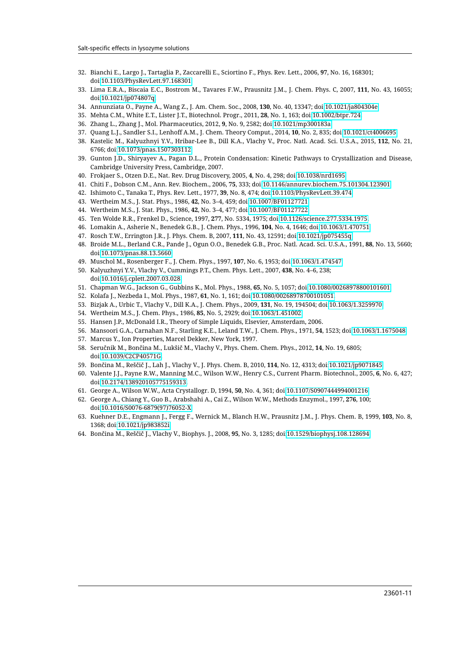- <span id="page-10-18"></span>32. Bianchi E., Largo J., Tartaglia P., Zaccarelli E., Sciortino F., Phys. Rev. Lett., 2006, **97**, No. 16, 168301; doi[:10.1103/PhysRevLett.97.168301.](http://dx.doi.org/10.1103/PhysRevLett.97.168301)
- 33. Lima E.R.A., Biscaia E.C., Bostrom M., Tavares F.W., Prausnitz J.M., J. Chem. Phys. C, 2007, **111**, No. 43, 16055; doi[:10.1021/jp074807q.](http://dx.doi.org/10.1021/jp074807q)
- 34. Annunziata O., Payne A., Wang Z., J. Am. Chem. Soc., 2008, **130**, No. 40, 13347; doi[:10.1021/ja804304e.](http://dx.doi.org/10.1021/ja804304e)
- 35. Mehta C.M., White E.T., Lister J.T., Biotechnol. Progr., 2011, **28**, No. 1, 163; doi[:10.1002/btpr.724.](http://dx.doi.org/10.1002/btpr.724)
- 36. Zhang L., Zhang J., Mol. Pharmaceutics, 2012, **9**, No. 9, 2582; doi[:10.1021/mp300183a.](http://dx.doi.org/10.1021/mp300183a)
- 37. Quang L.J., Sandler S.I., Lenhoff A.M., J. Chem. Theory Comput., 2014, **10**, No. 2, 835; doi[:10.1021/ct4006695.](http://dx.doi.org/10.1021/ct4006695)
- <span id="page-10-4"></span>38. Kastelic M., Kalyuzhnyi Y.V., Hribar-Lee B., Dill K.A., Vlachy V., Proc. Natl. Acad. Sci. U.S.A., 2015, **112**, No. 21, 6766; doi[:10.1073/pnas.1507303112.](http://dx.doi.org/10.1073/pnas.1507303112)
- <span id="page-10-0"></span>39. Gunton J.D., Shiryayev A., Pagan D.L., Protein Condensation: Kinetic Pathways to Crystallization and Disease, Cambridge University Press, Cambridge, 2007.
- <span id="page-10-1"></span>40. Frokjaer S., Otzen D.E., Nat. Rev. Drug Discovery, 2005, **4**, No. 4, 298; doi[:10.1038/nrd1695.](http://dx.doi.org/10.1038/nrd1695)
- <span id="page-10-2"></span>41. Chiti F., Dobson C.M., Ann. Rev. Biochem., 2006, **75**, 333; doi[:10.1146/annurev.biochem.75.101304.123901.](http://dx.doi.org/10.1146/annurev.biochem.75.101304.123901)
- <span id="page-10-3"></span>42. Ishimoto C., Tanaka T., Phys. Rev. Lett., 1977, **39**, No. 8, 474; doi[:10.1103/PhysRevLett.39.474.](http://dx.doi.org/10.1103/PhysRevLett.39.474)
- <span id="page-10-5"></span>43. Wertheim M.S., J. Stat. Phys., 1986, **42**, No. 3–4, 459; doi[:10.1007/BF01127721.](http://dx.doi.org/10.1007/BF01127721)
- <span id="page-10-6"></span>44. Wertheim M.S., J. Stat. Phys., 1986, **42**, No. 3–4, 477; doi[:10.1007/BF01127722.](http://dx.doi.org/10.1007/BF01127722)
- <span id="page-10-7"></span>45. Ten Wolde R.R., Frenkel D., Science, 1997, **277**, No. 5334, 1975; doi[:10.1126/science.277.5334.1975.](http://dx.doi.org/10.1126/science.277.5334.1975)
- 46. Lomakin A., Asherie N., Benedek G.B., J. Chem. Phys., 1996, **104**, No. 4, 1646; doi[:10.1063/1.470751.](http://dx.doi.org/10.1063/1.470751)
- <span id="page-10-8"></span>47. Rosch T.W., Errington J.R., J. Phys. Chem. B, 2007, **111**, No. 43, 12591; doi[:10.1021/jp075455q.](http://dx.doi.org/10.1021/jp075455q)
- <span id="page-10-9"></span>48. Broide M.L., Berland C.R., Pande J., Ogun O.O., Benedek G.B., Proc. Natl. Acad. Sci. U.S.A., 1991, **88**, No. 13, 5660; doi[:10.1073/pnas.88.13.5660.](http://dx.doi.org/10.1073/pnas.88.13.5660)
- <span id="page-10-10"></span>49. Muschol M., Rosenberger F., J. Chem. Phys., 1997, **107**, No. 6, 1953; doi[:10.1063/1.474547.](http://dx.doi.org/10.1063/1.474547)
- <span id="page-10-11"></span>50. Kalyuzhnyi Y.V., Vlachy V., Cummings P.T., Chem. Phys. Lett., 2007, **438**, No. 4–6, 238; doi[:10.1016/j.cplett.2007.03.028.](http://dx.doi.org/10.1016/j.cplett.2007.03.028)
- <span id="page-10-12"></span>51. Chapman W.G., Jackson G., Gubbins K., Mol. Phys., 1988, **65**, No. 5, 1057; doi[:10.1080/00268978800101601.](http://dx.doi.org/10.1080/00268978800101601)
- <span id="page-10-13"></span>52. Kolafa J., Nezbeda I., Mol. Phys., 1987, **61**, No. 1, 161; doi[:10.1080/00268978700101051.](http://dx.doi.org/10.1080/00268978700101051)
- <span id="page-10-14"></span>53. Bizjak A., Urbic T., Vlachy V., Dill K.A., J. Chem. Phys., 2009, **131**, No. 19, 194504; doi[:10.1063/1.3259970.](http://dx.doi.org/10.1063/1.3259970)
- <span id="page-10-15"></span>54. Wertheim M.S., J. Chem. Phys., 1986, **85**, No. 5, 2929; doi[:10.1063/1.451002.](http://dx.doi.org/10.1063/1.451002)
- <span id="page-10-16"></span>55. Hansen J.P., McDonald I.R., Theory of Simple Liquids, Elsevier, Amsterdam, 2006.
- <span id="page-10-17"></span>56. Mansoori G.A., Carnahan N.F., Starling K.E., Leland T.W., J. Chem. Phys., 1971, **54**, 1523; doi[:10.1063/1.1675048.](http://dx.doi.org/10.1063/1.1675048)
- <span id="page-10-21"></span>57. Marcus Y., Ion Properties, Marcel Dekker, New York, 1997.
- <span id="page-10-19"></span>58. Seručnik M., Bončina M., Lukšič M., Vlachy V., Phys. Chem. Chem. Phys., 2012, **14**, No. 19, 6805; doi[:10.1039/C2CP40571G.](http://dx.doi.org/10.1039/C2CP40571G)
- <span id="page-10-20"></span>59. Bončina M., Reščič J., Lah J., Vlachy V., J. Phys. Chem. B, 2010, **114**, No. 12, 4313; doi[:10.1021/jp9071845.](http://dx.doi.org/10.1021/jp9071845)
- <span id="page-10-22"></span>60. Valente J.J., Payne R.W., Manning M.C., Wilson W.W., Henry C.S., Current Pharm. Biotechnol., 2005, **6**, No. 6, 427; doi[:10.2174/138920105775159313.](http://dx.doi.org/10.2174/138920105775159313)
- <span id="page-10-23"></span>61. George A., Wilson W.W., Acta Crystallogr. D, 1994, **50**, No. 4, 361; doi[:10.1107/S0907444994001216.](http://dx.doi.org/10.1107/S0907444994001216)
- <span id="page-10-24"></span>62. George A., Chiang Y., Guo B., Arabshahi A., Cai Z., Wilson W.W., Methods Enzymol., 1997, **276**, 100; doi[:10.1016/S0076-6879\(97\)76052-X.](http://dx.doi.org/10.1016/S0076-6879(97)76052-X)
- <span id="page-10-25"></span>63. Kuehner D.E., Engmann J., Fergg F., Wernick M., Blanch H.W., Prausnitz J.M., J. Phys. Chem. B, 1999, **103**, No. 8, 1368; doi[:10.1021/jp983852i.](http://dx.doi.org/10.1021/jp983852i)
- <span id="page-10-26"></span>64. Bončina M., Reščič J., Vlachy V., Biophys. J., 2008, **95**, No. 3, 1285; doi[:10.1529/biophysj.108.128694.](http://dx.doi.org/10.1529/biophysj.108.128694)